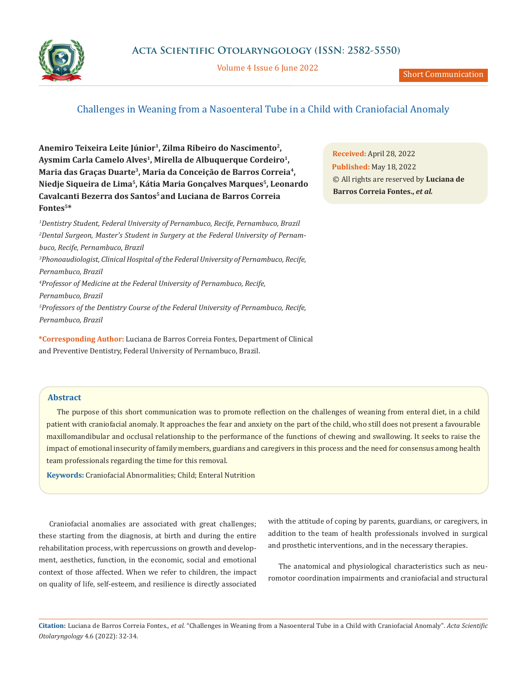

Volume 4 Issue 6 June 2022

## Challenges in Weaning from a Nasoenteral Tube in a Child with Craniofacial Anomaly

**Anemiro Teixeira Leite Júnior1, Zilma Ribeiro do Nascimento2,**  Aysmim Carla Camelo Alves<sup>1</sup>, Mirella de Albuquerque Cordeiro<sup>1</sup>, **Maria das Graças Duarte3, Maria da Conceição de Barros Correia4, Niedje Siqueira de Lima5, Kátia Maria Gonçalves Marques5, Leonardo Cavalcanti Bezerra dos Santos5 and Luciana de Barros Correia Fontes5\***

*1 Dentistry Student, Federal University of Pernambuco, Recife, Pernambuco, Brazil 2 Dental Surgeon, Master's Student in Surgery at the Federal University of Pernambuco, Recife, Pernambuco, Brazil 3 Phonoaudiologist, Clinical Hospital of the Federal University of Pernambuco, Recife, Pernambuco, Brazil 4 Professor of Medicine at the Federal University of Pernambuco, Recife, Pernambuco, Brazil 5 Professors of the Dentistry Course of the Federal University of Pernambuco, Recife, Pernambuco, Brazil*

**\*Corresponding Author:** Luciana de Barros Correia Fontes, Department of Clinical and Preventive Dentistry, Federal University of Pernambuco, Brazil.

## **Abstract**

The purpose of this short communication was to promote reflection on the challenges of weaning from enteral diet, in a child patient with craniofacial anomaly. It approaches the fear and anxiety on the part of the child, who still does not present a favourable maxillomandibular and occlusal relationship to the performance of the functions of chewing and swallowing. It seeks to raise the impact of emotional insecurity of family members, guardians and caregivers in this process and the need for consensus among health team professionals regarding the time for this removal.

**Keywords:** Craniofacial Abnormalities; Child; Enteral Nutrition

Craniofacial anomalies are associated with great challenges; these starting from the diagnosis, at birth and during the entire rehabilitation process, with repercussions on growth and development, aesthetics, function, in the economic, social and emotional context of those affected. When we refer to children, the impact on quality of life, self-esteem, and resilience is directly associated with the attitude of coping by parents, guardians, or caregivers, in addition to the team of health professionals involved in surgical and prosthetic interventions, and in the necessary therapies.

The anatomical and physiological characteristics such as neuromotor coordination impairments and craniofacial and structural

**Citation:** Luciana de Barros Correia Fontes*., et al.* "Challenges in Weaning from a Nasoenteral Tube in a Child with Craniofacial Anomaly". *Acta Scientific Otolaryngology* 4.6 (2022): 32-34.

**Received:** April 28, 2022 **Published:** May 18, 2022 © All rights are reserved by **Luciana de Barros Correia Fontes.,** *et al.*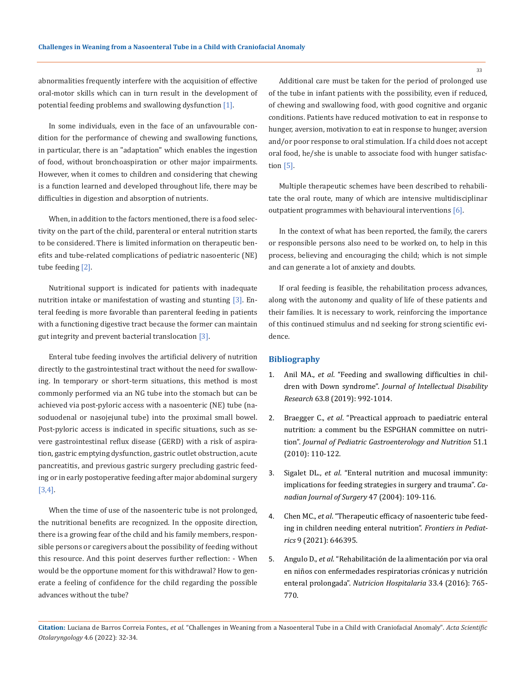abnormalities frequently interfere with the acquisition of effective oral-motor skills which can in turn result in the development of potential feeding problems and swallowing dysfunction [1].

In some individuals, even in the face of an unfavourable condition for the performance of chewing and swallowing functions, in particular, there is an "adaptation" which enables the ingestion of food, without bronchoaspiration or other major impairments. However, when it comes to children and considering that chewing is a function learned and developed throughout life, there may be difficulties in digestion and absorption of nutrients.

When, in addition to the factors mentioned, there is a food selectivity on the part of the child, parenteral or enteral nutrition starts to be considered. There is limited information on therapeutic benefits and tube-related complications of pediatric nasoenteric (NE) tube feeding [2].

Nutritional support is indicated for patients with inadequate nutrition intake or manifestation of wasting and stunting [3]. Enteral feeding is more favorable than parenteral feeding in patients with a functioning digestive tract because the former can maintain gut integrity and prevent bacterial translocation [3].

Enteral tube feeding involves the artificial delivery of nutrition directly to the gastrointestinal tract without the need for swallowing. In temporary or short-term situations, this method is most commonly performed via an NG tube into the stomach but can be achieved via post-pyloric access with a nasoenteric (NE) tube (nasoduodenal or nasojejunal tube) into the proximal small bowel. Post-pyloric access is indicated in specific situations, such as severe gastrointestinal reflux disease (GERD) with a risk of aspiration, gastric emptying dysfunction, gastric outlet obstruction, acute pancreatitis, and previous gastric surgery precluding gastric feeding or in early postoperative feeding after major abdominal surgery [3,4].

When the time of use of the nasoenteric tube is not prolonged, the nutritional benefits are recognized. In the opposite direction, there is a growing fear of the child and his family members, responsible persons or caregivers about the possibility of feeding without this resource. And this point deserves further reflection: - When would be the opportune moment for this withdrawal? How to generate a feeling of confidence for the child regarding the possible advances without the tube?

Additional care must be taken for the period of prolonged use of the tube in infant patients with the possibility, even if reduced, of chewing and swallowing food, with good cognitive and organic conditions. Patients have reduced motivation to eat in response to hunger, aversion, motivation to eat in response to hunger, aversion and/or poor response to oral stimulation. If a child does not accept oral food, he/she is unable to associate food with hunger satisfaction [5].

Multiple therapeutic schemes have been described to rehabilitate the oral route, many of which are intensive multidisciplinar outpatient programmes with behavioural interventions [6].

In the context of what has been reported, the family, the carers or responsible persons also need to be worked on, to help in this process, believing and encouraging the child; which is not simple and can generate a lot of anxiety and doubts.

If oral feeding is feasible, the rehabilitation process advances, along with the autonomy and quality of life of these patients and their families. It is necessary to work, reinforcing the importance of this continued stimulus and nd seeking for strong scientific evidence.

## **Bibliography**

- 1. Anil MA., *et al*[. "Feeding and swallowing difficulties in chil](https://pubmed.ncbi.nlm.nih.gov/30950140/)dren with Down syndrome". *[Journal of Intellectual Disability](https://pubmed.ncbi.nlm.nih.gov/30950140/)  Research* [63.8 \(2019\): 992-1014.](https://pubmed.ncbi.nlm.nih.gov/30950140/)
- 2. Braegger C., *et al*[. "Preactical approach to paediatric enteral](https://pubmed.ncbi.nlm.nih.gov/20453670/)  [nutrition: a comment bu the ESPGHAN committee on nutri](https://pubmed.ncbi.nlm.nih.gov/20453670/)tion". *[Journal of Pediatric Gastroenterology and Nutrition](https://pubmed.ncbi.nlm.nih.gov/20453670/)* 51.1 [\(2010\): 110-122.](https://pubmed.ncbi.nlm.nih.gov/20453670/)
- 3. Sigalet DL., *et al*[. "Enteral nutrition and mucosal immunity:](https://pubmed.ncbi.nlm.nih.gov/15132464/)  [implications for feeding strategies in surgery and trauma".](https://pubmed.ncbi.nlm.nih.gov/15132464/) *Ca[nadian Journal of Surgery](https://pubmed.ncbi.nlm.nih.gov/15132464/)* 47 (2004): 109-116.
- 4. Chen MC., *et al*. "Therapeutic efficacy of nasoenteric tube feeding in children needing enteral nutrition". *Frontiers in Pediatrics* 9 (2021): 646395.
- 5. Angulo D., *et al*[. "Rehabilitación de la alimentación por via oral](https://scielo.isciii.es/scielo.php?script=sci_abstract&pid=S0212-16112016000400002)  [en niños con enfermedades respiratorias crónicas y nutrición](https://scielo.isciii.es/scielo.php?script=sci_abstract&pid=S0212-16112016000400002) enteral prolongada". *[Nutricion Hospitalaria](https://scielo.isciii.es/scielo.php?script=sci_abstract&pid=S0212-16112016000400002)* 33.4 (2016): 765- [770.](https://scielo.isciii.es/scielo.php?script=sci_abstract&pid=S0212-16112016000400002)

**Citation:** Luciana de Barros Correia Fontes*., et al.* "Challenges in Weaning from a Nasoenteral Tube in a Child with Craniofacial Anomaly". *Acta Scientific Otolaryngology* 4.6 (2022): 32-34.

33